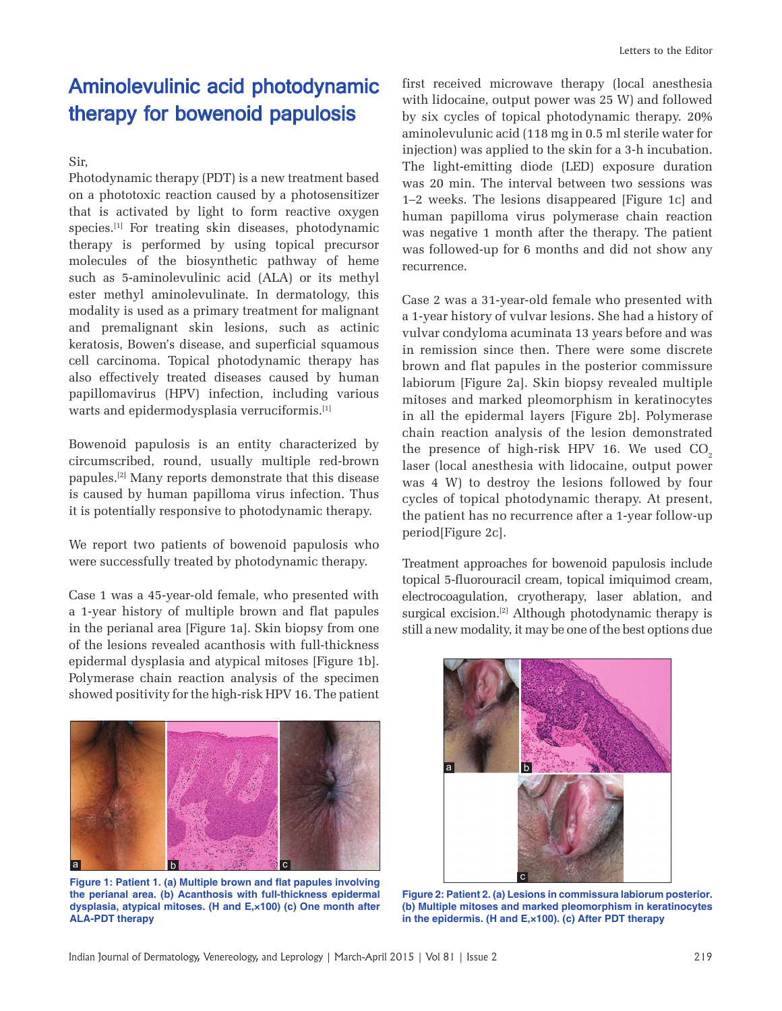## Aminolevulinic acid photodynamic therapy for bowenoid papulosis

Sir,

Photodynamic therapy (PDT) is a new treatment based on a phototoxic reaction caused by a photosensitizer that is activated by light to form reactive oxygen species.[1] For treating skin diseases, photodynamic therapy is performed by using topical precursor molecules of the biosynthetic pathway of heme such as 5-aminolevulinic acid (ALA) or its methyl ester methyl aminolevulinate. In dermatology, this modality is used as a primary treatment for malignant and premalignant skin lesions, such as actinic keratosis, Bowen's disease, and superficial squamous cell carcinoma. Topical photodynamic therapy has also effectively treated diseases caused by human papillomavirus (HPV) infection, including various warts and epidermodysplasia verruciformis.<sup>[1]</sup>

Bowenoid papulosis is an entity characterized by circumscribed, round, usually multiple red-brown papules.[2] Many reports demonstrate that this disease is caused by human papilloma virus infection. Thus it is potentially responsive to photodynamic therapy.

We report two patients of bowenoid papulosis who were successfully treated by photodynamic therapy.

Case 1 was a 45-year-old female, who presented with a 1-year history of multiple brown and flat papules in the perianal area [Figure 1a]. Skin biopsy from one of the lesions revealed acanthosis with full-thickness epidermal dysplasia and atypical mitoses [Figure 1b]. Polymerase chain reaction analysis of the specimen showed positivity for the high-risk HPV 16. The patient



Figure 1: Patient 1. (a) Multiple brown and flat papules involving **the perianal area. (b) Acanthosis with full-thickness epidermal dysplasia, atypical mitoses. (H and E,×100) (c) One month after ALA-PDT therapy**

first received microwave therapy (local anesthesia with lidocaine, output power was 25 W) and followed by six cycles of topical photodynamic therapy. 20% aminolevulunic acid (118 mg in 0.5 ml sterile water for injection) was applied to the skin for a 3-h incubation. The light-emitting diode (LED) exposure duration was 20 min. The interval between two sessions was 1–2 weeks. The lesions disappeared [Figure 1c] and human papilloma virus polymerase chain reaction was negative 1 month after the therapy. The patient was followed-up for 6 months and did not show any recurrence.

Case 2 was a 31-year-old female who presented with a 1-year history of vulvar lesions. She had a history of vulvar condyloma acuminata 13 years before and was in remission since then. There were some discrete brown and flat papules in the posterior commissure labiorum [Figure 2a]. Skin biopsy revealed multiple mitoses and marked pleomorphism in keratinocytes in all the epidermal layers [Figure 2b]. Polymerase chain reaction analysis of the lesion demonstrated the presence of high-risk HPV 16. We used  $CO<sub>2</sub>$ laser (local anesthesia with lidocaine, output power was 4 W) to destroy the lesions followed by four cycles of topical photodynamic therapy. At present, the patient has no recurrence after a 1-year follow-up period[Figure 2c].

Treatment approaches for bowenoid papulosis include topical 5-fluorouracil cream, topical imiquimod cream, electrocoagulation, cryotherapy, laser ablation, and surgical excision.<sup>[2]</sup> Although photodynamic therapy is still a new modality, it may be one of the best options due



**Figure 2: Patient 2. (a) Lesions in commissura labiorum posterior. (b) Multiple mitoses and marked pleomorphism in keratinocytes in the epidermis. (H and E,×100). (c) After PDT therapy**